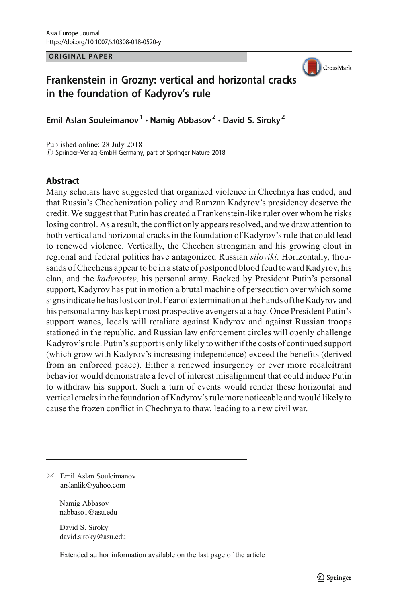ORIGINAL PAPER



# Frankenstein in Grozny: vertical and horizontal cracks in the foundation of Kadyrov's rule

Emil Aslan Souleimanov<sup>1</sup> · Namig Abbasov<sup>2</sup> · David S. Siroky<sup>2</sup>

Published online: 28 July 2018  $\circled{c}$  Springer-Verlag GmbH Germany, part of Springer Nature 2018

# Abstract

Many scholars have suggested that organized violence in Chechnya has ended, and that Russia's Chechenization policy and Ramzan Kadyrov's presidency deserve the credit. We suggest that Putin has created a Frankenstein-like ruler over whom he risks losing control. As a result, the conflict only appears resolved, and we draw attention to both vertical and horizontal cracks in the foundation of Kadyrov's rule that could lead to renewed violence. Vertically, the Chechen strongman and his growing clout in regional and federal politics have antagonized Russian siloviki. Horizontally, thousands of Chechens appear to be in a state of postponed blood feud toward Kadyrov, his clan, and the kadyrovtsy, his personal army. Backed by President Putin's personal support, Kadyrov has put in motion a brutal machine of persecution over which some signsindicate he haslost control. Fear of extermination atthe hands ofthe Kadyrov and his personal army has kept most prospective avengers at a bay. Once President Putin's support wanes, locals will retaliate against Kadyrov and against Russian troops stationed in the republic, and Russian law enforcement circles will openly challenge Kadyrov's rule. Putin's support is only likely to wither if the costs of continued support (which grow with Kadyrov's increasing independence) exceed the benefits (derived from an enforced peace). Either a renewed insurgency or ever more recalcitrant behavior would demonstrate a level of interest misalignment that could induce Putin to withdraw his support. Such a turn of events would render these horizontal and vertical cracks in the foundation of Kadyrov's rule more noticeable and would likely to cause the frozen conflict in Chechnya to thaw, leading to a new civil war.

 $\boxtimes$  Emil Aslan Souleimanov [arslanlik@yahoo.com](mailto:arslanlik@yahoo.com)

> Namig Abbasov nabbaso1@asu.edu

David S. Siroky david.siroky@asu.edu

Extended author information available on the last page of the article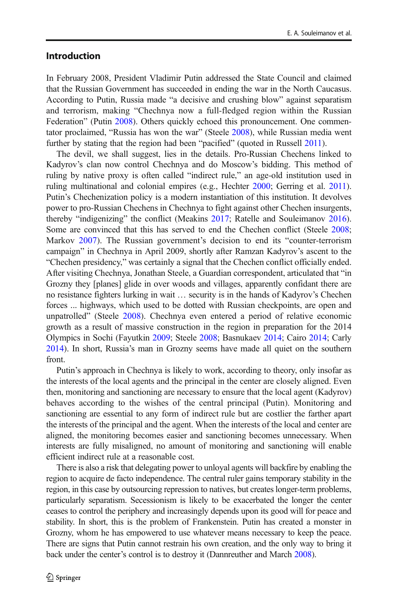# Introduction

In February 2008, President Vladimir Putin addressed the State Council and claimed that the Russian Government has succeeded in ending the war in the North Caucasus. According to Putin, Russia made "a decisive and crushing blow" against separatism and terrorism, making "Chechnya now a full-fledged region within the Russian Federation" (Putin [2008\)](#page-15-0). Others quickly echoed this pronouncement. One commentator proclaimed, "Russia has won the war" (Steele [2008\)](#page-16-0), while Russian media went further by stating that the region had been "pacified" (quoted in Russell [2011\)](#page-15-0).

The devil, we shall suggest, lies in the details. Pro-Russian Chechens linked to Kadyrov's clan now control Chechnya and do Moscow's bidding. This method of ruling by native proxy is often called "indirect rule," an age-old institution used in ruling multinational and colonial empires (e.g., Hechter [2000;](#page-14-0) Gerring et al. [2011\)](#page-14-0). Putin's Chechenization policy is a modern instantiation of this institution. It devolves power to pro-Russian Chechens in Chechnya to fight against other Chechen insurgents, thereby "indigenizing" the conflict (Meakins [2017;](#page-15-0) Ratelle and Souleimanov [2016\)](#page-15-0). Some are convinced that this has served to end the Chechen conflict (Steele [2008;](#page-16-0) Markov [2007](#page-15-0)). The Russian government's decision to end its "counter-terrorism campaign" in Chechnya in April 2009, shortly after Ramzan Kadyrov's ascent to the "Chechen presidency," was certainly a signal that the Chechen conflict officially ended. After visiting Chechnya, Jonathan Steele, a Guardian correspondent, articulated that "in Grozny they [planes] glide in over woods and villages, apparently confidant there are no resistance fighters lurking in wait … security is in the hands of Kadyrov's Chechen forces ... highways, which used to be dotted with Russian checkpoints, are open and unpatrolled" (Steele [2008\)](#page-16-0). Chechnya even entered a period of relative economic growth as a result of massive construction in the region in preparation for the 2014 Olympics in Sochi (Fayutkin [2009](#page-14-0); Steele [2008;](#page-16-0) Basnukaev [2014](#page-14-0); Cairo [2014](#page-14-0); Carly [2014\)](#page-14-0). In short, Russia's man in Grozny seems have made all quiet on the southern front.

Putin's approach in Chechnya is likely to work, according to theory, only insofar as the interests of the local agents and the principal in the center are closely aligned. Even then, monitoring and sanctioning are necessary to ensure that the local agent (Kadyrov) behaves according to the wishes of the central principal (Putin). Monitoring and sanctioning are essential to any form of indirect rule but are costlier the farther apart the interests of the principal and the agent. When the interests of the local and center are aligned, the monitoring becomes easier and sanctioning becomes unnecessary. When interests are fully misaligned, no amount of monitoring and sanctioning will enable efficient indirect rule at a reasonable cost.

There is also a risk that delegating power to unloyal agents will backfire by enabling the region to acquire de facto independence. The central ruler gains temporary stability in the region, in this case by outsourcing repression to natives, but creates longer-term problems, particularly separatism. Secessionism is likely to be exacerbated the longer the center ceases to control the periphery and increasingly depends upon its good will for peace and stability. In short, this is the problem of Frankenstein. Putin has created a monster in Grozny, whom he has empowered to use whatever means necessary to keep the peace. There are signs that Putin cannot restrain his own creation, and the only way to bring it back under the center's control is to destroy it (Dannreuther and March [2008](#page-14-0)).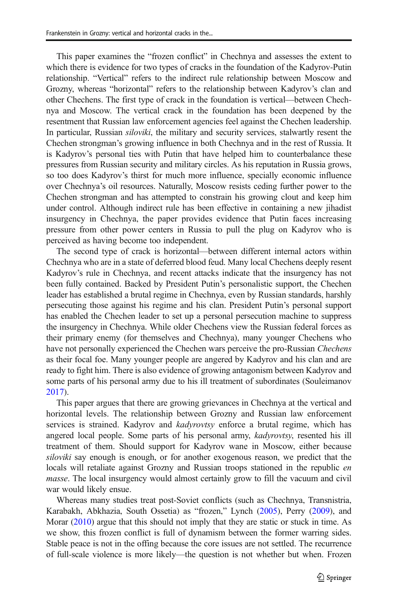This paper examines the "frozen conflict" in Chechnya and assesses the extent to which there is evidence for two types of cracks in the foundation of the Kadyrov-Putin relationship. "Vertical" refers to the indirect rule relationship between Moscow and Grozny, whereas "horizontal" refers to the relationship between Kadyrov's clan and other Chechens. The first type of crack in the foundation is vertical—between Chechnya and Moscow. The vertical crack in the foundation has been deepened by the resentment that Russian law enforcement agencies feel against the Chechen leadership. In particular, Russian *siloviki*, the military and security services, stalwartly resent the Chechen strongman's growing influence in both Chechnya and in the rest of Russia. It is Kadyrov's personal ties with Putin that have helped him to counterbalance these pressures from Russian security and military circles. As his reputation in Russia grows, so too does Kadyrov's thirst for much more influence, specially economic influence over Chechnya's oil resources. Naturally, Moscow resists ceding further power to the Chechen strongman and has attempted to constrain his growing clout and keep him under control. Although indirect rule has been effective in containing a new jihadist insurgency in Chechnya, the paper provides evidence that Putin faces increasing pressure from other power centers in Russia to pull the plug on Kadyrov who is perceived as having become too independent.

The second type of crack is horizontal—between different internal actors within Chechnya who are in a state of deferred blood feud. Many local Chechens deeply resent Kadyrov's rule in Chechnya, and recent attacks indicate that the insurgency has not been fully contained. Backed by President Putin's personalistic support, the Chechen leader has established a brutal regime in Chechnya, even by Russian standards, harshly persecuting those against his regime and his clan. President Putin's personal support has enabled the Chechen leader to set up a personal persecution machine to suppress the insurgency in Chechnya. While older Chechens view the Russian federal forces as their primary enemy (for themselves and Chechnya), many younger Chechens who have not personally experienced the Chechen wars perceive the pro-Russian Chechens as their focal foe. Many younger people are angered by Kadyrov and his clan and are ready to fight him. There is also evidence of growing antagonism between Kadyrov and some parts of his personal army due to his ill treatment of subordinates (Souleimanov [2017\)](#page-16-0).

This paper argues that there are growing grievances in Chechnya at the vertical and horizontal levels. The relationship between Grozny and Russian law enforcement services is strained. Kadyrov and *kadyrovtsy* enforce a brutal regime, which has angered local people. Some parts of his personal army, kadyrovtsy, resented his ill treatment of them. Should support for Kadyrov wane in Moscow, either because siloviki say enough is enough, or for another exogenous reason, we predict that the locals will retaliate against Grozny and Russian troops stationed in the republic en masse. The local insurgency would almost certainly grow to fill the vacuum and civil war would likely ensue.

Whereas many studies treat post-Soviet conflicts (such as Chechnya, Transnistria, Karabakh, Abkhazia, South Ossetia) as "frozen," Lynch ([2005](#page-15-0)), Perry ([2009](#page-15-0)), and Morar [\(2010\)](#page-15-0) argue that this should not imply that they are static or stuck in time. As we show, this frozen conflict is full of dynamism between the former warring sides. Stable peace is not in the offing because the core issues are not settled. The recurrence of full-scale violence is more likely—the question is not whether but when. Frozen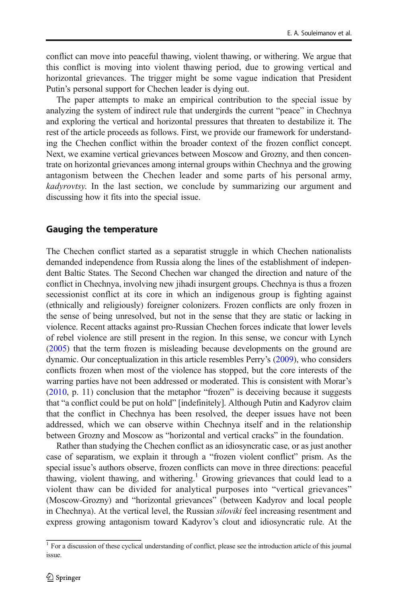conflict can move into peaceful thawing, violent thawing, or withering. We argue that this conflict is moving into violent thawing period, due to growing vertical and horizontal grievances. The trigger might be some vague indication that President Putin's personal support for Chechen leader is dying out.

The paper attempts to make an empirical contribution to the special issue by analyzing the system of indirect rule that undergirds the current "peace" in Chechnya and exploring the vertical and horizontal pressures that threaten to destabilize it. The rest of the article proceeds as follows. First, we provide our framework for understanding the Chechen conflict within the broader context of the frozen conflict concept. Next, we examine vertical grievances between Moscow and Grozny, and then concentrate on horizontal grievances among internal groups within Chechnya and the growing antagonism between the Chechen leader and some parts of his personal army, kadyrovtsy. In the last section, we conclude by summarizing our argument and discussing how it fits into the special issue.

#### Gauging the temperature

The Chechen conflict started as a separatist struggle in which Chechen nationalists demanded independence from Russia along the lines of the establishment of independent Baltic States. The Second Chechen war changed the direction and nature of the conflict in Chechnya, involving new jihadi insurgent groups. Chechnya is thus a frozen secessionist conflict at its core in which an indigenous group is fighting against (ethnically and religiously) foreigner colonizers. Frozen conflicts are only frozen in the sense of being unresolved, but not in the sense that they are static or lacking in violence. Recent attacks against pro-Russian Chechen forces indicate that lower levels of rebel violence are still present in the region. In this sense, we concur with Lynch [\(2005\)](#page-15-0) that the term frozen is misleading because developments on the ground are dynamic. Our conceptualization in this article resembles Perry's ([2009](#page-15-0)), who considers conflicts frozen when most of the violence has stopped, but the core interests of the warring parties have not been addressed or moderated. This is consistent with Morar's [\(2010,](#page-15-0) p. 11) conclusion that the metaphor "frozen" is deceiving because it suggests that "a conflict could be put on hold" [indefinitely]. Although Putin and Kadyrov claim that the conflict in Chechnya has been resolved, the deeper issues have not been addressed, which we can observe within Chechnya itself and in the relationship between Grozny and Moscow as "horizontal and vertical cracks" in the foundation.

Rather than studying the Chechen conflict as an idiosyncratic case, or as just another case of separatism, we explain it through a "frozen violent conflict" prism. As the special issue's authors observe, frozen conflicts can move in three directions: peaceful thawing, violent thawing, and withering.<sup>1</sup> Growing grievances that could lead to a violent thaw can be divided for analytical purposes into "vertical grievances" (Moscow-Grozny) and "horizontal grievances" (between Kadyrov and local people in Chechnya). At the vertical level, the Russian siloviki feel increasing resentment and express growing antagonism toward Kadyrov's clout and idiosyncratic rule. At the

 $1$  For a discussion of these cyclical understanding of conflict, please see the introduction article of this journal issue.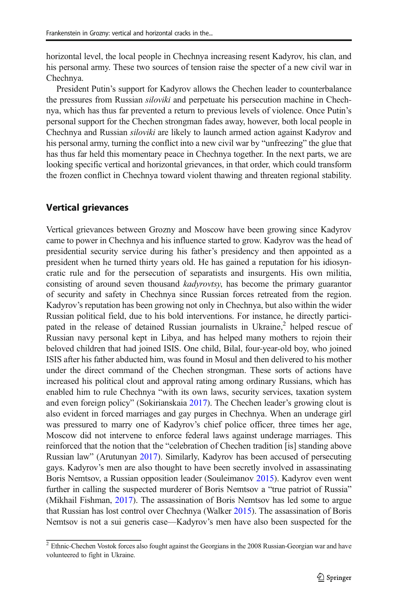horizontal level, the local people in Chechnya increasing resent Kadyrov, his clan, and his personal army. These two sources of tension raise the specter of a new civil war in Chechnya.

President Putin's support for Kadyrov allows the Chechen leader to counterbalance the pressures from Russian siloviki and perpetuate his persecution machine in Chechnya, which has thus far prevented a return to previous levels of violence. Once Putin's personal support for the Chechen strongman fades away, however, both local people in Chechnya and Russian siloviki are likely to launch armed action against Kadyrov and his personal army, turning the conflict into a new civil war by "unfreezing" the glue that has thus far held this momentary peace in Chechnya together. In the next parts, we are looking specific vertical and horizontal grievances, in that order, which could transform the frozen conflict in Chechnya toward violent thawing and threaten regional stability.

# Vertical grievances

Vertical grievances between Grozny and Moscow have been growing since Kadyrov came to power in Chechnya and his influence started to grow. Kadyrov was the head of presidential security service during his father's presidency and then appointed as a president when he turned thirty years old. He has gained a reputation for his idiosyncratic rule and for the persecution of separatists and insurgents. His own militia, consisting of around seven thousand *kadyrovtsy*, has become the primary guarantor of security and safety in Chechnya since Russian forces retreated from the region. Kadyrov's reputation has been growing not only in Chechnya, but also within the wider Russian political field, due to his bold interventions. For instance, he directly participated in the release of detained Russian journalists in Ukraine, $<sup>2</sup>$  helped rescue of</sup> Russian navy personal kept in Libya, and has helped many mothers to rejoin their beloved children that had joined ISIS. One child, Bilal, four-year-old boy, who joined ISIS after his father abducted him, was found in Mosul and then delivered to his mother under the direct command of the Chechen strongman. These sorts of actions have increased his political clout and approval rating among ordinary Russians, which has enabled him to rule Chechnya "with its own laws, security services, taxation system and even foreign policy" (Sokirianskaia [2017\)](#page-15-0). The Chechen leader's growing clout is also evident in forced marriages and gay purges in Chechnya. When an underage girl was pressured to marry one of Kadyrov's chief police officer, three times her age, Moscow did not intervene to enforce federal laws against underage marriages. This reinforced that the notion that the "celebration of Chechen tradition [is] standing above Russian law" (Arutunyan [2017](#page-14-0)). Similarly, Kadyrov has been accused of persecuting gays. Kadyrov's men are also thought to have been secretly involved in assassinating Boris Nemtsov, a Russian opposition leader (Souleimanov [2015\)](#page-16-0). Kadyrov even went further in calling the suspected murderer of Boris Nemtsov a "true patriot of Russia" (Mikhail Fishman, [2017\)](#page-15-0). The assassination of Boris Nemtsov has led some to argue that Russian has lost control over Chechnya (Walker [2015\)](#page-16-0). The assassination of Boris Nemtsov is not a sui generis case—Kadyrov's men have also been suspected for the

 $2$  Ethnic-Chechen Vostok forces also fought against the Georgians in the 2008 Russian-Georgian war and have volunteered to fight in Ukraine.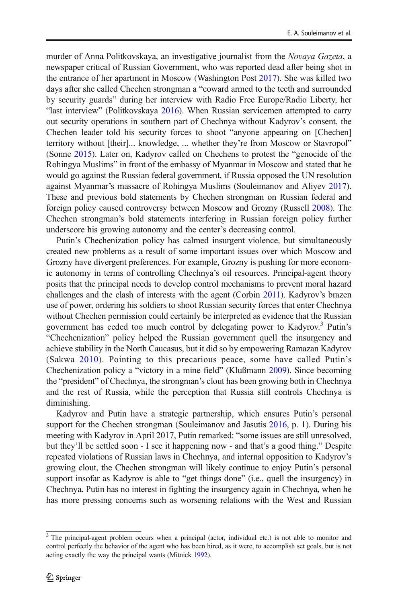murder of Anna Politkovskaya, an investigative journalist from the *Novaya Gazeta*, a newspaper critical of Russian Government, who was reported dead after being shot in the entrance of her apartment in Moscow (Washington Post [2017\)](#page-16-0). She was killed two days after she called Chechen strongman a "coward armed to the teeth and surrounded by security guards" during her interview with Radio Free Europe/Radio Liberty, her "last interview" (Politkovskaya [2016\)](#page-15-0). When Russian servicemen attempted to carry out security operations in southern part of Chechnya without Kadyrov's consent, the Chechen leader told his security forces to shoot "anyone appearing on [Chechen] territory without [their]... knowledge, ... whether they're from Moscow or Stavropol" (Sonne [2015](#page-16-0)). Later on, Kadyrov called on Chechens to protest the "genocide of the Rohingya Muslims" in front of the embassy of Myanmar in Moscow and stated that he would go against the Russian federal government, if Russia opposed the UN resolution against Myanmar's massacre of Rohingya Muslims (Souleimanov and Aliyev [2017\)](#page-16-0). These and previous bold statements by Chechen strongman on Russian federal and foreign policy caused controversy between Moscow and Grozny (Russell [2008](#page-15-0)). The Chechen strongman's bold statements interfering in Russian foreign policy further underscore his growing autonomy and the center's decreasing control.

Putin's Chechenization policy has calmed insurgent violence, but simultaneously created new problems as a result of some important issues over which Moscow and Grozny have divergent preferences. For example, Grozny is pushing for more economic autonomy in terms of controlling Chechnya's oil resources. Principal-agent theory posits that the principal needs to develop control mechanisms to prevent moral hazard challenges and the clash of interests with the agent (Corbin [2011\)](#page-14-0). Kadyrov's brazen use of power, ordering his soldiers to shoot Russian security forces that enter Chechnya without Chechen permission could certainly be interpreted as evidence that the Russian government has ceded too much control by delegating power to Kadyrov.<sup>3</sup> Putin's "Chechenization" policy helped the Russian government quell the insurgency and achieve stability in the North Caucasus, but it did so by empowering Ramazan Kadyrov (Sakwa [2010\)](#page-15-0). Pointing to this precarious peace, some have called Putin's Chechenization policy a "victory in a mine field" (Klußmann [2009\)](#page-15-0). Since becoming the "president" of Chechnya, the strongman's clout has been growing both in Chechnya and the rest of Russia, while the perception that Russia still controls Chechnya is diminishing.

Kadyrov and Putin have a strategic partnership, which ensures Putin's personal support for the Chechen strongman (Souleimanov and Jasutis [2016,](#page-16-0) p. 1). During his meeting with Kadyrov in April 2017, Putin remarked: "some issues are still unresolved, but they'll be settled soon - I see it happening now - and that's a good thing." Despite repeated violations of Russian laws in Chechnya, and internal opposition to Kadyrov's growing clout, the Chechen strongman will likely continue to enjoy Putin's personal support insofar as Kadyrov is able to "get things done" (i.e., quell the insurgency) in Chechnya. Putin has no interest in fighting the insurgency again in Chechnya, when he has more pressing concerns such as worsening relations with the West and Russian

<sup>&</sup>lt;sup>3</sup> The principal-agent problem occurs when a principal (actor, individual etc.) is not able to monitor and control perfectly the behavior of the agent who has been hired, as it were, to accomplish set goals, but is not acting exactly the way the principal wants (Mitnick [1992](#page-15-0)).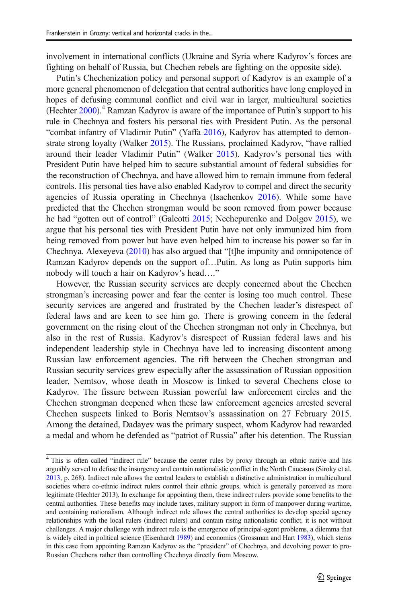involvement in international conflicts (Ukraine and Syria where Kadyrov's forces are fighting on behalf of Russia, but Chechen rebels are fighting on the opposite side).

Putin's Chechenization policy and personal support of Kadyrov is an example of a more general phenomenon of delegation that central authorities have long employed in hopes of defusing communal conflict and civil war in larger, multicultural societies (Hechter [2000\)](#page-14-0).<sup>4</sup> Ramzan Kadyrov is aware of the importance of Putin's support to his rule in Chechnya and fosters his personal ties with President Putin. As the personal "combat infantry of Vladimir Putin" (Yaffa [2016\)](#page-16-0), Kadyrov has attempted to demonstrate strong loyalty (Walker [2015\)](#page-16-0). The Russians, proclaimed Kadyrov, "have rallied around their leader Vladimir Putin" (Walker [2015](#page-16-0)). Kadyrov's personal ties with President Putin have helped him to secure substantial amount of federal subsidies for the reconstruction of Chechnya, and have allowed him to remain immune from federal controls. His personal ties have also enabled Kadyrov to compel and direct the security agencies of Russia operating in Chechnya (Isachenkov [2016](#page-14-0)). While some have predicted that the Chechen strongman would be soon removed from power because he had "gotten out of control" (Galeotti [2015](#page-14-0); Nechepurenko and Dolgov [2015\)](#page-15-0), we argue that his personal ties with President Putin have not only immunized him from being removed from power but have even helped him to increase his power so far in Chechnya. Alexeyeva [\(2010\)](#page-14-0) has also argued that "[t]he impunity and omnipotence of Ramzan Kadyrov depends on the support of…Putin. As long as Putin supports him nobody will touch a hair on Kadyrov's head…."

However, the Russian security services are deeply concerned about the Chechen strongman's increasing power and fear the center is losing too much control. These security services are angered and frustrated by the Chechen leader's disrespect of federal laws and are keen to see him go. There is growing concern in the federal government on the rising clout of the Chechen strongman not only in Chechnya, but also in the rest of Russia. Kadyrov's disrespect of Russian federal laws and his independent leadership style in Chechnya have led to increasing discontent among Russian law enforcement agencies. The rift between the Chechen strongman and Russian security services grew especially after the assassination of Russian opposition leader, Nemtsov, whose death in Moscow is linked to several Chechens close to Kadyrov. The fissure between Russian powerful law enforcement circles and the Chechen strongman deepened when these law enforcement agencies arrested several Chechen suspects linked to Boris Nemtsov's assassination on 27 February 2015. Among the detained, Dadayev was the primary suspect, whom Kadyrov had rewarded a medal and whom he defended as "patriot of Russia" after his detention. The Russian

<sup>4</sup> This is often called "indirect rule" because the center rules by proxy through an ethnic native and has arguably served to defuse the insurgency and contain nationalistic conflict in the North Caucasus (Siroky et al. [2013,](#page-15-0) p. 268). Indirect rule allows the central leaders to establish a distinctive administration in multicultural societies where co-ethnic indirect rulers control their ethnic groups, which is generally perceived as more legitimate (Hechter 2013). In exchange for appointing them, these indirect rulers provide some benefits to the central authorities. These benefits may include taxes, military support in form of manpower during wartime, and containing nationalism. Although indirect rule allows the central authorities to develop special agency relationships with the local rulers (indirect rulers) and contain rising nationalistic conflict, it is not without challenges. A major challenge with indirect rule is the emergence of principal-agent problems, a dilemma that is widely cited in political science (Eisenhardt [1989](#page-14-0)) and economics (Grossman and Hart [1983](#page-14-0)), which stems in this case from appointing Ramzan Kadyrov as the "president" of Chechnya, and devolving power to pro-Russian Chechens rather than controlling Chechnya directly from Moscow.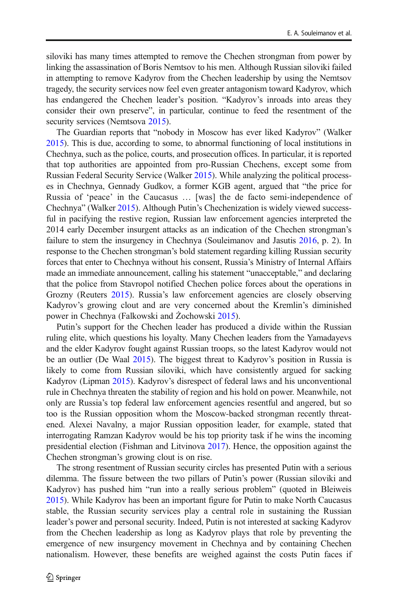siloviki has many times attempted to remove the Chechen strongman from power by linking the assassination of Boris Nemtsov to his men. Although Russian siloviki failed in attempting to remove Kadyrov from the Chechen leadership by using the Nemtsov tragedy, the security services now feel even greater antagonism toward Kadyrov, which has endangered the Chechen leader's position. "Kadyrov's inroads into areas they consider their own preserve", in particular, continue to feed the resentment of the security services (Nemtsova [2015](#page-15-0)).

The Guardian reports that "nobody in Moscow has ever liked Kadyrov" (Walker [2015\)](#page-16-0). This is due, according to some, to abnormal functioning of local institutions in Chechnya, such as the police, courts, and prosecution offices. In particular, it is reported that top authorities are appointed from pro-Russian Chechens, except some from Russian Federal Security Service (Walker [2015](#page-16-0)). While analyzing the political processes in Chechnya, Gennady Gudkov, a former KGB agent, argued that "the price for Russia of 'peace' in the Caucasus … [was] the de facto semi-independence of Chechnya" (Walker [2015](#page-16-0)). Although Putin's Chechenization is widely viewed successful in pacifying the restive region, Russian law enforcement agencies interpreted the 2014 early December insurgent attacks as an indication of the Chechen strongman's failure to stem the insurgency in Chechnya (Souleimanov and Jasutis [2016,](#page-16-0) p. 2). In response to the Chechen strongman's bold statement regarding killing Russian security forces that enter to Chechnya without his consent, Russia's Ministry of Internal Affairs made an immediate announcement, calling his statement "unacceptable," and declaring that the police from Stavropol notified Chechen police forces about the operations in Grozny (Reuters [2015\)](#page-15-0). Russia's law enforcement agencies are closely observing Kadyrov's growing clout and are very concerned about the Kremlin's diminished power in Chechnya (Falkowski and Żochowski [2015\)](#page-14-0).

Putin's support for the Chechen leader has produced a divide within the Russian ruling elite, which questions his loyalty. Many Chechen leaders from the Yamadayevs and the elder Kadyrov fought against Russian troops, so the latest Kadyrov would not be an outlier (De Waal [2015](#page-14-0)). The biggest threat to Kadyrov's position in Russia is likely to come from Russian siloviki, which have consistently argued for sacking Kadyrov (Lipman [2015\)](#page-15-0). Kadyrov's disrespect of federal laws and his unconventional rule in Chechnya threaten the stability of region and his hold on power. Meanwhile, not only are Russia's top federal law enforcement agencies resentful and angered, but so too is the Russian opposition whom the Moscow-backed strongman recently threatened. Alexei Navalny, a major Russian opposition leader, for example, stated that interrogating Ramzan Kadyrov would be his top priority task if he wins the incoming presidential election (Fishman and Litvinova [2017\)](#page-15-0). Hence, the opposition against the Chechen strongman's growing clout is on rise.

The strong resentment of Russian security circles has presented Putin with a serious dilemma. The fissure between the two pillars of Putin's power (Russian siloviki and Kadyrov) has pushed him "run into a really serious problem" (quoted in Bleiweis [2015\)](#page-14-0). While Kadyrov has been an important figure for Putin to make North Caucasus stable, the Russian security services play a central role in sustaining the Russian leader's power and personal security. Indeed, Putin is not interested at sacking Kadyrov from the Chechen leadership as long as Kadyrov plays that role by preventing the emergence of new insurgency movement in Chechnya and by containing Chechen nationalism. However, these benefits are weighed against the costs Putin faces if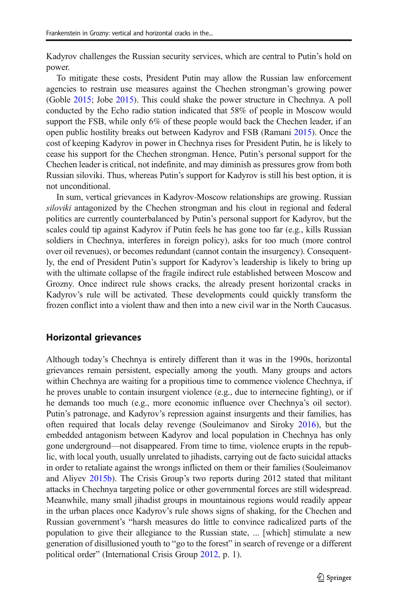Kadyrov challenges the Russian security services, which are central to Putin's hold on power.

To mitigate these costs, President Putin may allow the Russian law enforcement agencies to restrain use measures against the Chechen strongman's growing power (Goble [2015;](#page-14-0) Jobe [2015\)](#page-15-0). This could shake the power structure in Chechnya. A poll conducted by the Echo radio station indicated that 58% of people in Moscow would support the FSB, while only 6% of these people would back the Chechen leader, if an open public hostility breaks out between Kadyrov and FSB (Ramani [2015](#page-15-0)). Once the cost of keeping Kadyrov in power in Chechnya rises for President Putin, he is likely to cease his support for the Chechen strongman. Hence, Putin's personal support for the Chechen leader is critical, not indefinite, and may diminish as pressures grow from both Russian siloviki. Thus, whereas Putin's support for Kadyrov is still his best option, it is not unconditional.

In sum, vertical grievances in Kadyrov-Moscow relationships are growing. Russian siloviki antagonized by the Chechen strongman and his clout in regional and federal politics are currently counterbalanced by Putin's personal support for Kadyrov, but the scales could tip against Kadyrov if Putin feels he has gone too far (e.g., kills Russian soldiers in Chechnya, interferes in foreign policy), asks for too much (more control over oil revenues), or becomes redundant (cannot contain the insurgency). Consequently, the end of President Putin's support for Kadyrov's leadership is likely to bring up with the ultimate collapse of the fragile indirect rule established between Moscow and Grozny. Once indirect rule shows cracks, the already present horizontal cracks in Kadyrov's rule will be activated. These developments could quickly transform the frozen conflict into a violent thaw and then into a new civil war in the North Caucasus.

#### Horizontal grievances

Although today's Chechnya is entirely different than it was in the 1990s, horizontal grievances remain persistent, especially among the youth. Many groups and actors within Chechnya are waiting for a propitious time to commence violence Chechnya, if he proves unable to contain insurgent violence (e.g., due to internecine fighting), or if he demands too much (e.g., more economic influence over Chechnya's oil sector). Putin's patronage, and Kadyrov's repression against insurgents and their families, has often required that locals delay revenge (Souleimanov and Siroky [2016](#page-16-0)), but the embedded antagonism between Kadyrov and local population in Chechnya has only gone underground—not disappeared. From time to time, violence erupts in the republic, with local youth, usually unrelated to jihadists, carrying out de facto suicidal attacks in order to retaliate against the wrongs inflicted on them or their families (Souleimanov and Aliyev [2015b](#page-16-0)). The Crisis Group's two reports during 2012 stated that militant attacks in Chechnya targeting police or other governmental forces are still widespread. Meanwhile, many small jihadist groups in mountainous regions would readily appear in the urban places once Kadyrov's rule shows signs of shaking, for the Chechen and Russian government's "harsh measures do little to convince radicalized parts of the population to give their allegiance to the Russian state, ... [which] stimulate a new generation of disillusioned youth to "go to the forest" in search of revenge or a different political order" (International Crisis Group [2012,](#page-14-0) p. 1).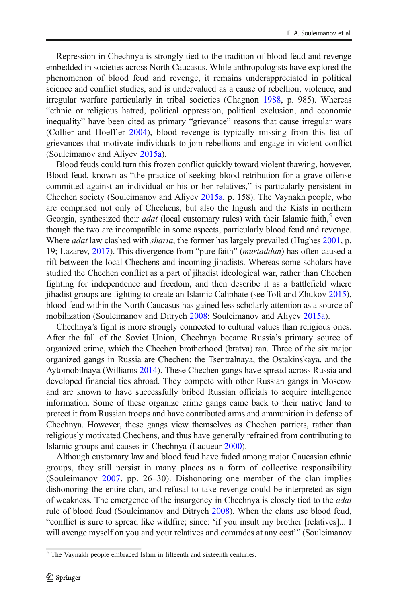Repression in Chechnya is strongly tied to the tradition of blood feud and revenge embedded in societies across North Caucasus. While anthropologists have explored the phenomenon of blood feud and revenge, it remains underappreciated in political science and conflict studies, and is undervalued as a cause of rebellion, violence, and irregular warfare particularly in tribal societies (Chagnon [1988](#page-14-0), p. 985). Whereas "ethnic or religious hatred, political oppression, political exclusion, and economic inequality" have been cited as primary "grievance" reasons that cause irregular wars (Collier and Hoeffler [2004\)](#page-14-0), blood revenge is typically missing from this list of grievances that motivate individuals to join rebellions and engage in violent conflict (Souleimanov and Aliyev [2015a\)](#page-16-0).

Blood feuds could turn this frozen conflict quickly toward violent thawing, however. Blood feud, known as "the practice of seeking blood retribution for a grave offense committed against an individual or his or her relatives," is particularly persistent in Chechen society (Souleimanov and Aliyev [2015a,](#page-16-0) p. 158). The Vaynakh people, who are comprised not only of Chechens, but also the Ingush and the Kists in northern Georgia, synthesized their *adat* (local customary rules) with their Islamic faith,<sup>5</sup> even though the two are incompatible in some aspects, particularly blood feud and revenge. Where *adat* law clashed with *sharia*, the former has largely prevailed (Hughes [2001](#page-14-0), p. 19; Lazarev, [2017](#page-15-0)). This divergence from "pure faith" (murtaddun) has often caused a rift between the local Chechens and incoming jihadists. Whereas some scholars have studied the Chechen conflict as a part of jihadist ideological war, rather than Chechen fighting for independence and freedom, and then describe it as a battlefield where jihadist groups are fighting to create an Islamic Caliphate (see Toft and Zhukov [2015\)](#page-16-0), blood feud within the North Caucasus has gained less scholarly attention as a source of mobilization (Souleimanov and Ditrych [2008](#page-16-0); Souleimanov and Aliyev [2015a](#page-16-0)).

Chechnya's fight is more strongly connected to cultural values than religious ones. After the fall of the Soviet Union, Chechnya became Russia's primary source of organized crime, which the Chechen brotherhood (bratva) ran. Three of the six major organized gangs in Russia are Chechen: the Tsentralnaya, the Ostakinskaya, and the Aytomobilnaya (Williams [2014\)](#page-16-0). These Chechen gangs have spread across Russia and developed financial ties abroad. They compete with other Russian gangs in Moscow and are known to have successfully bribed Russian officials to acquire intelligence information. Some of these organize crime gangs came back to their native land to protect it from Russian troops and have contributed arms and ammunition in defense of Chechnya. However, these gangs view themselves as Chechen patriots, rather than religiously motivated Chechens, and thus have generally refrained from contributing to Islamic groups and causes in Chechnya (Laqueur [2000](#page-15-0)).

Although customary law and blood feud have faded among major Caucasian ethnic groups, they still persist in many places as a form of collective responsibility (Souleimanov [2007](#page-16-0), pp. 26–30). Dishonoring one member of the clan implies dishonoring the entire clan, and refusal to take revenge could be interpreted as sign of weakness. The emergence of the insurgency in Chechnya is closely tied to the *adat* rule of blood feud (Souleimanov and Ditrych [2008\)](#page-16-0). When the clans use blood feud, "conflict is sure to spread like wildfire; since: 'if you insult my brother [relatives]... I will avenge myself on you and your relatives and comrades at any cost'" (Souleimanov

<sup>&</sup>lt;sup>5</sup> The Vaynakh people embraced Islam in fifteenth and sixteenth centuries.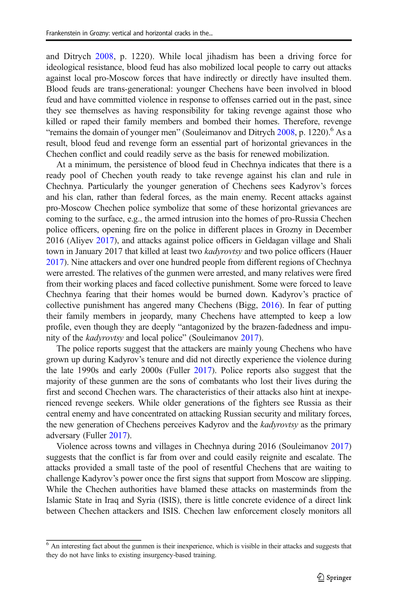and Ditrych [2008](#page-16-0), p. 1220). While local jihadism has been a driving force for ideological resistance, blood feud has also mobilized local people to carry out attacks against local pro-Moscow forces that have indirectly or directly have insulted them. Blood feuds are trans-generational: younger Chechens have been involved in blood feud and have committed violence in response to offenses carried out in the past, since they see themselves as having responsibility for taking revenge against those who killed or raped their family members and bombed their homes. Therefore, revenge "remains the domain of younger men" (Souleimanov and Ditrych [2008,](#page-16-0) p. 1220).<sup>6</sup> As a result, blood feud and revenge form an essential part of horizontal grievances in the Chechen conflict and could readily serve as the basis for renewed mobilization.

At a minimum, the persistence of blood feud in Chechnya indicates that there is a ready pool of Chechen youth ready to take revenge against his clan and rule in Chechnya. Particularly the younger generation of Chechens sees Kadyrov's forces and his clan, rather than federal forces, as the main enemy. Recent attacks against pro-Moscow Chechen police symbolize that some of these horizontal grievances are coming to the surface, e.g., the armed intrusion into the homes of pro-Russia Chechen police officers, opening fire on the police in different places in Grozny in December 2016 (Aliyev [2017\)](#page-14-0), and attacks against police officers in Geldagan village and Shali town in January 2017 that killed at least two kadyrovtsy and two police officers (Hauer [2017\)](#page-14-0). Nine attackers and over one hundred people from different regions of Chechnya were arrested. The relatives of the gunmen were arrested, and many relatives were fired from their working places and faced collective punishment. Some were forced to leave Chechnya fearing that their homes would be burned down. Kadyrov's practice of collective punishment has angered many Chechens (Bigg, [2016\)](#page-14-0). In fear of putting their family members in jeopardy, many Chechens have attempted to keep a low profile, even though they are deeply "antagonized by the brazen-fadedness and impunity of the *kadyrovtsy* and local police" (Souleimanov [2017\)](#page-16-0).

The police reports suggest that the attackers are mainly young Chechens who have grown up during Kadyrov's tenure and did not directly experience the violence during the late 1990s and early 2000s (Fuller [2017\)](#page-14-0). Police reports also suggest that the majority of these gunmen are the sons of combatants who lost their lives during the first and second Chechen wars. The characteristics of their attacks also hint at inexperienced revenge seekers. While older generations of the fighters see Russia as their central enemy and have concentrated on attacking Russian security and military forces, the new generation of Chechens perceives Kadyrov and the kadyrovtsy as the primary adversary (Fuller [2017](#page-14-0)).

Violence across towns and villages in Chechnya during 2016 (Souleimanov [2017](#page-16-0)) suggests that the conflict is far from over and could easily reignite and escalate. The attacks provided a small taste of the pool of resentful Chechens that are waiting to challenge Kadyrov's power once the first signs that support from Moscow are slipping. While the Chechen authorities have blamed these attacks on masterminds from the Islamic State in Iraq and Syria (ISIS), there is little concrete evidence of a direct link between Chechen attackers and ISIS. Chechen law enforcement closely monitors all

<sup>&</sup>lt;sup>6</sup> An interesting fact about the gunmen is their inexperience, which is visible in their attacks and suggests that they do not have links to existing insurgency-based training.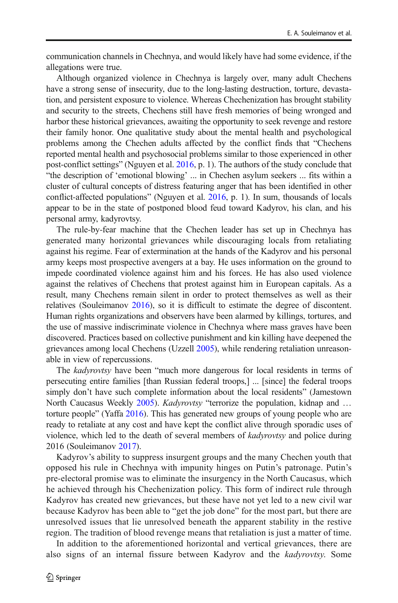communication channels in Chechnya, and would likely have had some evidence, if the allegations were true.

Although organized violence in Chechnya is largely over, many adult Chechens have a strong sense of insecurity, due to the long-lasting destruction, torture, devastation, and persistent exposure to violence. Whereas Chechenization has brought stability and security to the streets, Chechens still have fresh memories of being wronged and harbor these historical grievances, awaiting the opportunity to seek revenge and restore their family honor. One qualitative study about the mental health and psychological problems among the Chechen adults affected by the conflict finds that "Chechens reported mental health and psychosocial problems similar to those experienced in other post-conflict settings" (Nguyen et al. [2016](#page-15-0), p. 1). The authors of the study conclude that "the description of 'emotional blowing' ... in Chechen asylum seekers ... fits within a cluster of cultural concepts of distress featuring anger that has been identified in other conflict-affected populations" (Nguyen et al. [2016,](#page-15-0) p. 1). In sum, thousands of locals appear to be in the state of postponed blood feud toward Kadyrov, his clan, and his personal army, kadyrovtsy.

The rule-by-fear machine that the Chechen leader has set up in Chechnya has generated many horizontal grievances while discouraging locals from retaliating against his regime. Fear of extermination at the hands of the Kadyrov and his personal army keeps most prospective avengers at a bay. He uses information on the ground to impede coordinated violence against him and his forces. He has also used violence against the relatives of Chechens that protest against him in European capitals. As a result, many Chechens remain silent in order to protect themselves as well as their relatives (Souleimanov [2016](#page-16-0)), so it is difficult to estimate the degree of discontent. Human rights organizations and observers have been alarmed by killings, tortures, and the use of massive indiscriminate violence in Chechnya where mass graves have been discovered. Practices based on collective punishment and kin killing have deepened the grievances among local Chechens (Uzzell [2005\)](#page-16-0), while rendering retaliation unreasonable in view of repercussions.

The kadyrovtsy have been "much more dangerous for local residents in terms of persecuting entire families [than Russian federal troops,] ... [since] the federal troops simply don't have such complete information about the local residents" (Jamestown North Caucasus Weekly [2005](#page-15-0)). *Kadyrovtsy* "terrorize the population, kidnap and ... torture people" (Yaffa [2016](#page-16-0)). This has generated new groups of young people who are ready to retaliate at any cost and have kept the conflict alive through sporadic uses of violence, which led to the death of several members of kadyrovtsy and police during 2016 (Souleimanov [2017](#page-16-0)).

Kadyrov's ability to suppress insurgent groups and the many Chechen youth that opposed his rule in Chechnya with impunity hinges on Putin's patronage. Putin's pre-electoral promise was to eliminate the insurgency in the North Caucasus, which he achieved through his Chechenization policy. This form of indirect rule through Kadyrov has created new grievances, but these have not yet led to a new civil war because Kadyrov has been able to "get the job done" for the most part, but there are unresolved issues that lie unresolved beneath the apparent stability in the restive region. The tradition of blood revenge means that retaliation is just a matter of time.

In addition to the aforementioned horizontal and vertical grievances, there are also signs of an internal fissure between Kadyrov and the *kadyrovtsy*. Some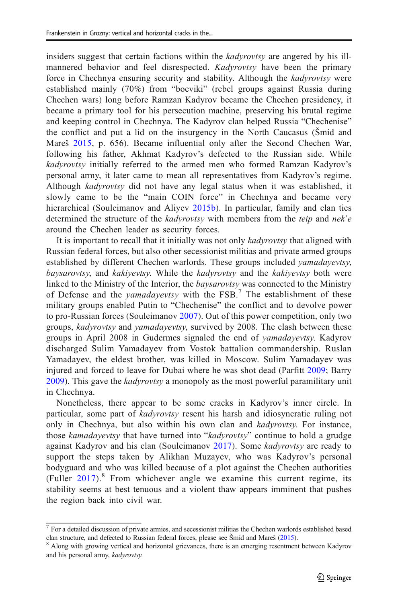insiders suggest that certain factions within the *kadyrovtsy* are angered by his illmannered behavior and feel disrespected. Kadyrovtsy have been the primary force in Chechnya ensuring security and stability. Although the kadyrovtsy were established mainly (70%) from "boeviki" (rebel groups against Russia during Chechen wars) long before Ramzan Kadyrov became the Chechen presidency, it became a primary tool for his persecution machine, preserving his brutal regime and keeping control in Chechnya. The Kadyrov clan helped Russia "Chechenise" the conflict and put a lid on the insurgency in the North Caucasus (Šmíd and Mareš [2015](#page-15-0), p. 656). Became influential only after the Second Chechen War, following his father, Akhmat Kadyrov's defected to the Russian side. While kadyrovtsy initially referred to the armed men who formed Ramzan Kadyrov's personal army, it later came to mean all representatives from Kadyrov's regime. Although kadyrovtsy did not have any legal status when it was established, it slowly came to be the "main COIN force" in Chechnya and became very hierarchical (Souleimanov and Aliyev [2015b](#page-16-0)). In particular, family and clan ties determined the structure of the *kadyrovtsy* with members from the *teip* and *nek'e* around the Chechen leader as security forces.

It is important to recall that it initially was not only *kadyrovtsy* that aligned with Russian federal forces, but also other secessionist militias and private armed groups established by different Chechen warlords. These groups included *yamadayevtsy*, baysarovtsy, and kakiyevtsy. While the kadyrovtsy and the kakiyevtsy both were linked to the Ministry of the Interior, the baysarovtsy was connected to the Ministry of Defense and the *yamadayevtsy* with the FSB.<sup>7</sup> The establishment of these military groups enabled Putin to "Chechenise" the conflict and to devolve power to pro-Russian forces (Souleimanov [2007\)](#page-16-0). Out of this power competition, only two groups, kadyrovtsy and yamadayevtsy, survived by 2008. The clash between these groups in April 2008 in Gudermes signaled the end of yamadayevtsy. Kadyrov discharged Sulim Yamadayev from Vostok battalion commandership. Ruslan Yamadayev, the eldest brother, was killed in Moscow. Sulim Yamadayev was injured and forced to leave for Dubai where he was shot dead (Parfitt [2009;](#page-15-0) Barry [2009](#page-14-0)). This gave the *kadyrovtsy* a monopoly as the most powerful paramilitary unit in Chechnya.

Nonetheless, there appear to be some cracks in Kadyrov's inner circle. In particular, some part of kadyrovtsy resent his harsh and idiosyncratic ruling not only in Chechnya, but also within his own clan and kadyrovtsy. For instance, those kamadayevtsy that have turned into "kadyrovtsy" continue to hold a grudge against Kadyrov and his clan (Souleimanov [2017](#page-16-0)). Some kadyrovtsy are ready to support the steps taken by Alikhan Muzayev, who was Kadyrov's personal bodyguard and who was killed because of a plot against the Chechen authorities (Fuller  $2017$ ).<sup>8</sup> From whichever angle we examine this current regime, its stability seems at best tenuous and a violent thaw appears imminent that pushes the region back into civil war.

 $^7$  For a detailed discussion of private armies, and secessionist militias the Chechen warlords established based clan structure, and defected to Russian federal forces, please see Smíd and Mareš (2015).

 $\delta$  Along with growing vertical and horizontal grievances, there is an emerging resentment between Kadyrov and his personal army, kadyrovtsy.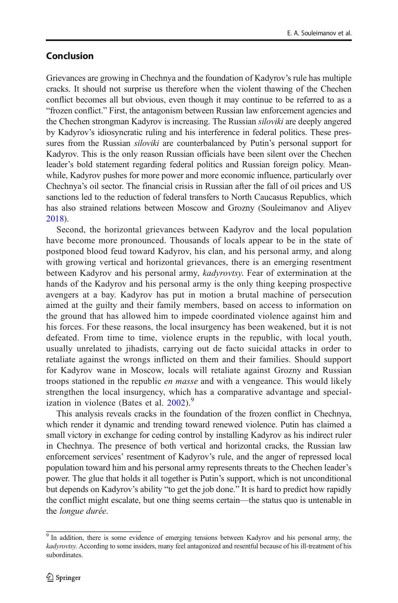# Conclusion

Grievances are growing in Chechnya and the foundation of Kadyrov's rule has multiple cracks. It should not surprise us therefore when the violent thawing of the Chechen conflict becomes all but obvious, even though it may continue to be referred to as a "frozen conflict." First, the antagonism between Russian law enforcement agencies and the Chechen strongman Kadyrov is increasing. The Russian siloviki are deeply angered by Kadyrov's idiosyncratic ruling and his interference in federal politics. These pressures from the Russian *siloviki* are counterbalanced by Putin's personal support for Kadyrov. This is the only reason Russian officials have been silent over the Chechen leader's bold statement regarding federal politics and Russian foreign policy. Meanwhile, Kadyrov pushes for more power and more economic influence, particularly over Chechnya's oil sector. The financial crisis in Russian after the fall of oil prices and US sanctions led to the reduction of federal transfers to North Caucasus Republics, which has also strained relations between Moscow and Grozny (Souleimanov and Aliyev [2018\)](#page-16-0).

Second, the horizontal grievances between Kadyrov and the local population have become more pronounced. Thousands of locals appear to be in the state of postponed blood feud toward Kadyrov, his clan, and his personal army, and along with growing vertical and horizontal grievances, there is an emerging resentment between Kadyrov and his personal army, kadyrovtsy. Fear of extermination at the hands of the Kadyrov and his personal army is the only thing keeping prospective avengers at a bay. Kadyrov has put in motion a brutal machine of persecution aimed at the guilty and their family members, based on access to information on the ground that has allowed him to impede coordinated violence against him and his forces. For these reasons, the local insurgency has been weakened, but it is not defeated. From time to time, violence erupts in the republic, with local youth, usually unrelated to jihadists, carrying out de facto suicidal attacks in order to retaliate against the wrongs inflicted on them and their families. Should support for Kadyrov wane in Moscow, locals will retaliate against Grozny and Russian troops stationed in the republic *en masse* and with a vengeance. This would likely strengthen the local insurgency, which has a comparative advantage and specialization in violence (Bates et al.  $2002$ ).<sup>9</sup>

This analysis reveals cracks in the foundation of the frozen conflict in Chechnya, which render it dynamic and trending toward renewed violence. Putin has claimed a small victory in exchange for ceding control by installing Kadyrov as his indirect ruler in Chechnya. The presence of both vertical and horizontal cracks, the Russian law enforcement services' resentment of Kadyrov's rule, and the anger of repressed local population toward him and his personal army represents threats to the Chechen leader's power. The glue that holds it all together is Putin's support, which is not unconditional but depends on Kadyrov's ability "to get the job done." It is hard to predict how rapidly the conflict might escalate, but one thing seems certain—the status quo is untenable in the longue durée.

 $\frac{9}{9}$  In addition, there is some evidence of emerging tensions between Kadyrov and his personal army, the kadyrovtsy. According to some insiders, many feel antagonized and resentful because of his ill-treatment of his subordinates.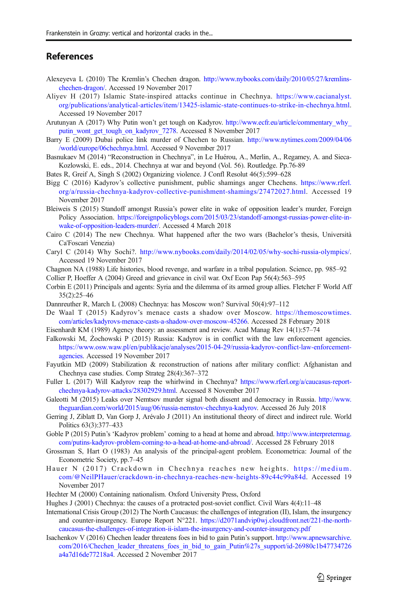# <span id="page-14-0"></span>References

- Alexeyeva L (2010) The Kremlin's Chechen dragon. [http://www.nybooks.com/daily/2010/05/27/kremlins](http://www.nybooks.com/daily/2010/05/27/kremlins-chechen-dragon/)[chechen-dragon/.](http://www.nybooks.com/daily/2010/05/27/kremlins-chechen-dragon/) Accessed 19 November 2017
- Aliyev H (2017) Islamic State-inspired attacks continue in Chechnya. [https://www.cacianalyst.](https://www.cacianalyst.org/publications/analytical-articles/item/13425-islamic-state-continues-to-strike-in-chechnya.html) [org/publications/analytical-articles/item/13425-islamic-state-continues-to-strike-in-chechnya.html](https://www.cacianalyst.org/publications/analytical-articles/item/13425-islamic-state-continues-to-strike-in-chechnya.html). Accessed 19 November 2017
- Arutunyan A (2017) Why Putin won't get tough on Kadyrov. [http://www.ecfr.eu/article/commentary\\_why\\_](http://www.ecfr.eu/article/commentary_why_putin_wont_get_tough_on_kadyrov_7278) [putin\\_wont\\_get\\_tough\\_on\\_kadyrov\\_7278.](http://www.ecfr.eu/article/commentary_why_putin_wont_get_tough_on_kadyrov_7278) Accessed 8 November 2017
- Barry E (2009) Dubai police link murder of Chechen to Russian. [http://www.nytimes.com/2009/04/06](http://www.nytimes.com/2009/04/06/world/europe/06chechnya.html) [/world/europe/06chechnya.html](http://www.nytimes.com/2009/04/06/world/europe/06chechnya.html). Accessed 9 November 2017
- Basnukaev M (2014) "Reconstruction in Chechnya", in Le Huérou, A., Merlin, A., Regamey, A. and Sieca-Kozlowski, E. eds., 2014. Chechnya at war and beyond (Vol. 56). Routledge. Pp.76-89
- Bates R, Greif A, Singh S (2002) Organizing violence. J Confl Resolut 46(5):599–628
- Bigg C (2016) Kadyrov's collective punishment, public shamings anger Chechens. [https://www.rferl.](https://www.rferl.org/a/russia-chechnya-kadyrov-collective-punishment-shamings/27472027.html) [org/a/russia-chechnya-kadyrov-collective-punishment-shamings/27472027.html](https://www.rferl.org/a/russia-chechnya-kadyrov-collective-punishment-shamings/27472027.html). Accessed 19 November 2017
- Bleiweis S (2015) Standoff amongst Russia's power elite in wake of opposition leader's murder, Foreign Policy Association. [https://foreignpolicyblogs.com/2015/03/23/standoff-amongst-russias-power-elite-in](https://foreignpolicyblogs.com/2015/03/23/standoff-amongst-russias-power-elite-in-wake-of-opposition-leaders-murder/)[wake-of-opposition-leaders-murder/](https://foreignpolicyblogs.com/2015/03/23/standoff-amongst-russias-power-elite-in-wake-of-opposition-leaders-murder/). Accessed 4 March 2018
- Cairo C (2014) The new Chechnya. What happened after the two wars (Bachelor's thesis, Università Ca'Foscari Venezia)
- Caryl C (2014) Why Sochi?. <http://www.nybooks.com/daily/2014/02/05/why-sochi-russia-olympics/>. Accessed 19 November 2017
- Chagnon NA (1988) Life histories, blood revenge, and warfare in a tribal population. Science, pp. 985–92
- Collier P, Hoeffer A (2004) Greed and grievance in civil war. Oxf Econ Pap 56(4):563–595
- Corbin E (2011) Principals and agents: Syria and the dilemma of its armed group allies. Fletcher F World Aff 35(2):25–46
- Dannreuther R, March L (2008) Chechnya: has Moscow won? Survival 50(4):97–112
- De Waal T (2015) Kadyrov's menace casts a shadow over Moscow. [https://themoscowtimes.](https://themoscowtimes.com/articles/kadyrovs-menace-casts-a-shadow-over-moscow-45266) [com/articles/kadyrovs-menace-casts-a-shadow-over-moscow-45266](https://themoscowtimes.com/articles/kadyrovs-menace-casts-a-shadow-over-moscow-45266). Accessed 28 February 2018
- Eisenhardt KM (1989) Agency theory: an assessment and review. Acad Manag Rev 14(1):57–74
- Falkowski M, Żochowski P (2015) Russia: Kadyrov is in conflict with the law enforcement agencies. [https://www.osw.waw.pl/en/publikacje/analyses/2015-04-29/russia-kadyrov-conflict-law-enforcement](https://www.osw.waw.pl/en/publikacje/analyses/2015-04-29/russia-kadyrov-conflict-law-enforcement-agencies)[agencies](https://www.osw.waw.pl/en/publikacje/analyses/2015-04-29/russia-kadyrov-conflict-law-enforcement-agencies). Accessed 19 November 2017
- Fayutkin MD (2009) Stabilization & reconstruction of nations after military conflict: Afghanistan and Chechnya case studies. Comp Strateg 28(4):367–372
- Fuller L (2017) Will Kadyrov reap the whirlwind in Chechnya? [https://www.rferl.org/a/caucasus-report](https://www.rferl.org/a/caucasus-report-chechnya-kadyrov-attacks/28302929.html)[chechnya-kadyrov-attacks/28302929.html](https://www.rferl.org/a/caucasus-report-chechnya-kadyrov-attacks/28302929.html). Accessed 8 November 2017
- Galeotti M (2015) Leaks over Nemtsov murder signal both dissent and democracy in Russia. [http://www.](http://www.theguardian.com/world/2015/aug/06/russia-nemstov-chechnya-kadyrov) [theguardian.com/world/2015/aug/06/russia-nemstov-chechnya-kadyrov.](http://www.theguardian.com/world/2015/aug/06/russia-nemstov-chechnya-kadyrov) Accessed 26 July 2018
- Gerring J, Ziblatt D, Van Gorp J, Arévalo J (2011) An institutional theory of direct and indirect rule. World Politics 63(3):377–433
- Goble P (2015) Putin's 'Kadyrov problem' coming to a head at home and abroad. [http://www.interpretermag.](http://www.interpretermag.com/putins-kadyrov-problem-coming-to-a-head-at-home-and-abroad/) [com/putins-kadyrov-problem-coming-to-a-head-at-home-and-abroad/.](http://www.interpretermag.com/putins-kadyrov-problem-coming-to-a-head-at-home-and-abroad/) Accessed 28 February 2018
- Grossman S, Hart O (1983) An analysis of the principal-agent problem. Econometrica: Journal of the Econometric Society, pp.7–45
- Hauer N (2017) Crackdown in Chechnya reaches new heights. [https://medium.](https://medium.com/@NeilPHauer/crackdown-in-chechnya-reaches-new-heights-89c44c99a84d) [com/@NeilPHauer/crackdown-in-chechnya-reaches-new-heights-89c44c99a84d](https://medium.com/@NeilPHauer/crackdown-in-chechnya-reaches-new-heights-89c44c99a84d). Accessed 19 November 2017
- Hechter M (2000) Containing nationalism. Oxford University Press, Oxford
- Hughes J (2001) Chechnya: the causes of a protracted post-soviet conflict. Civil Wars 4(4):11–48
- International Crisis Group (2012) The North Caucasus: the challenges of integration (II), Islam, the insurgency and counter-insurgency. Europe Report N°221. [https://d2071andvip0wj.cloudfront.net/221-the-north](https://d2071andvip0wj.cloudfront.net/221-the-north-caucasus-the-challenges-of-integration-ii-islam-the-insurgency-and-counter-insurgency.pdf)[caucasus-the-challenges-of-integration-ii-islam-the-insurgency-and-counter-insurgency.pdf](https://d2071andvip0wj.cloudfront.net/221-the-north-caucasus-the-challenges-of-integration-ii-islam-the-insurgency-and-counter-insurgency.pdf)
- Isachenkov V (2016) Chechen leader threatens foes in bid to gain Putin's support. [http://www.apnewsarchive.](http://www.apnewsarchive.com/2016/Chechen_leader_threatens_foes_in_bid_to_gain_Putin%27s_support/id-26980c1b47734726a4a7d16de77218a4) [com/2016/Chechen\\_leader\\_threatens\\_foes\\_in\\_bid\\_to\\_gain\\_Putin%27s\\_support/id-26980c1b47734726](http://www.apnewsarchive.com/2016/Chechen_leader_threatens_foes_in_bid_to_gain_Putin%27s_support/id-26980c1b47734726a4a7d16de77218a4) [a4a7d16de77218a4.](http://www.apnewsarchive.com/2016/Chechen_leader_threatens_foes_in_bid_to_gain_Putin%27s_support/id-26980c1b47734726a4a7d16de77218a4) Accessed 2 November 2017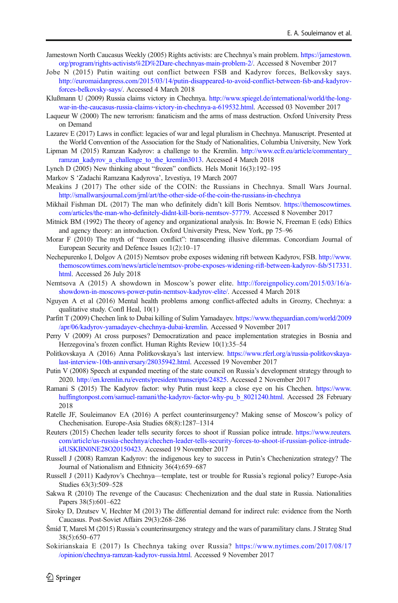- <span id="page-15-0"></span>Jamestown North Caucasus Weekly (2005) Rights activists: are Chechnya's main problem. [https://jamestown.](https://jamestown.org/program/rights-activists%2D%2Dare-chechnyas-main-problem-2/) [org/program/rights-activists%2D%2Dare-chechnyas-main-problem-2/](https://jamestown.org/program/rights-activists%2D%2Dare-chechnyas-main-problem-2/). Accessed 8 November 2017
- Jobe N (2015) Putin waiting out conflict between FSB and Kadyrov forces, Belkovsky says. [http://euromaidanpress.com/2015/03/14/putin-disappeared-to-avoid-conflict-between-fsb-and-kadyrov](http://euromaidanpress.com/2015/03/14/putin-disappeared-to-avoid-conflict-between-fsb-and-kadyrov-forces-belkovsky-says/)[forces-belkovsky-says/](http://euromaidanpress.com/2015/03/14/putin-disappeared-to-avoid-conflict-between-fsb-and-kadyrov-forces-belkovsky-says/). Accessed 4 March 2018
- Klußmann U (2009) Russia claims victory in Chechnya. [http://www.spiegel.de/international/world/the-long](http://www.spiegel.de/international/world/the-long-war-in-the-caucasus-russia-claims-victory-in-chechnya-a-619532.html)[war-in-the-caucasus-russia-claims-victory-in-chechnya-a-619532.html](http://www.spiegel.de/international/world/the-long-war-in-the-caucasus-russia-claims-victory-in-chechnya-a-619532.html). Accessed 03 November 2017
- Laqueur W (2000) The new terrorism: fanaticism and the arms of mass destruction. Oxford University Press on Demand
- Lazarev E (2017) Laws in conflict: legacies of war and legal pluralism in Chechnya. Manuscript. Presented at the World Convention of the Association for the Study of Nationalities, Columbia University, New York
- Lipman M (2015) Ramzan Kadyrov: a challenge to the Kremlin. http://www.ecfr.eu/article/commentary [ramzan\\_kadyrov\\_a\\_challenge\\_to\\_the\\_kremlin3013.](http://www.ecfr.eu/article/commentary_ramzan_kadyrov_a_challenge_to_the_kremlin3013) Accessed 4 March 2018
- Lynch D (2005) New thinking about "frozen" conflicts. Hels Monit 16(3):192–195
- Markov S 'Zadachi Ramzana Kadyrova', Izvestiya, 19 March 2007
- Meakins J (2017) The other side of the COIN: the Russians in Chechnya. Small Wars Journal. <http://smallwarsjournal.com/jrnl/art/the-other-side-of-the-coin-the-russians-in-chechnya>
- Mikhail Fishman DL (2017) The man who definitely didn't kill Boris Nemtsov. [https://themoscowtimes.](https://themoscowtimes.com/articles/the-man-who-definitely-didnt-kill-boris-nemtsov-57779) [com/articles/the-man-who-definitely-didnt-kill-boris-nemtsov-57779](https://themoscowtimes.com/articles/the-man-who-definitely-didnt-kill-boris-nemtsov-57779). Accessed 8 November 2017
- Mitnick BM (1992) The theory of agency and organizational analysis. In: Bowie N, Freeman E (eds) Ethics and agency theory: an introduction. Oxford University Press, New York, pp 75–96
- Morar F (2010) The myth of "frozen conflict": transcending illusive dilemmas. Concordiam Journal of European Security and Defence Issues 1(2):10–17
- Nechepurenko I, Dolgov A (2015) Nemtsov probe exposes widening rift between Kadyrov, FSB. [http://www.](http://www.themoscowtimes.com/news/article/nemtsov-probe-exposes-widening-rift-between-kadyrov-fsb/517331.html) [themoscowtimes.com/news/article/nemtsov-probe-exposes-widening-rift-between-kadyrov-fsb/517331.](http://www.themoscowtimes.com/news/article/nemtsov-probe-exposes-widening-rift-between-kadyrov-fsb/517331.html) [html.](http://www.themoscowtimes.com/news/article/nemtsov-probe-exposes-widening-rift-between-kadyrov-fsb/517331.html) Accessed 26 July 2018
- Nemtsova A (2015) A showdown in Moscow's power elite. [http://foreignpolicy.com/2015/03/16/a](http://foreignpolicy.com/2015/03/16/a-showdown-in-moscows-power-putin-nemtsov-kadyrov-elite/)[showdown-in-moscows-power-putin-nemtsov-kadyrov-elite/](http://foreignpolicy.com/2015/03/16/a-showdown-in-moscows-power-putin-nemtsov-kadyrov-elite/). Accessed 4 March 2018
- Nguyen A et al (2016) Mental health problems among conflict-affected adults in Grozny, Chechnya: a qualitative study. Confl Heal, 10(1)
- Parfitt T (2009) Chechen link to Dubai killing of Sulim Yamadayev. [https://www.theguardian.com/world/2009](https://www.theguardian.com/world/2009/apr/06/kadyrov-yamadayev-chechnya-dubai-kremlin) [/apr/06/kadyrov-yamadayev-chechnya-dubai-kremlin](https://www.theguardian.com/world/2009/apr/06/kadyrov-yamadayev-chechnya-dubai-kremlin). Accessed 9 November 2017
- Perry V (2009) At cross purposes? Democratization and peace implementation strategies in Bosnia and Herzegovina's frozen conflict. Human Rights Review 10(1):35–54
- Politkovskaya A (2016) Anna Politkovskaya's last interview. [https://www.rferl.org/a/russia-politkovskaya](https://www.rferl.org/a/russia-politkovskaya-last-interview-10th-anniversary/28035942.html)[last-interview-10th-anniversary/28035942.html.](https://www.rferl.org/a/russia-politkovskaya-last-interview-10th-anniversary/28035942.html) Accessed 19 November 2017
- Putin V (2008) Speech at expanded meeting of the state council on Russia's development strategy through to 2020. <http://en.kremlin.ru/events/president/transcripts/24825>. Accessed 2 November 2017
- Ramani S (2015) The Kadyrov factor: why Putin must keep a close eye on his Chechen. [https://www.](https://www.huffingtonpost.com/samuel-ramani/the-kadyrov-factor-why-pu_b_8021240.html) [huffingtonpost.com/samuel-ramani/the-kadyrov-factor-why-pu\\_b\\_8021240.html](https://www.huffingtonpost.com/samuel-ramani/the-kadyrov-factor-why-pu_b_8021240.html). Accessed 28 February 2018
- Ratelle JF, Souleimanov EA (2016) A perfect counterinsurgency? Making sense of Moscow's policy of Chechenisation. Europe-Asia Studies 68(8):1287–1314
- Reuters (2015) Chechen leader tells security forces to shoot if Russian police intrude. [https://www.reuters.](https://www.reuters.com/article/us-russia-chechnya/chechen-leader-tells-security-forces-to-shoot-if-russian-police-intrude-idUSKBN0NE28O20150423) [com/article/us-russia-chechnya/chechen-leader-tells-security-forces-to-shoot-if-russian-police-intrude](https://www.reuters.com/article/us-russia-chechnya/chechen-leader-tells-security-forces-to-shoot-if-russian-police-intrude-idUSKBN0NE28O20150423)[idUSKBN0NE28O20150423.](https://www.reuters.com/article/us-russia-chechnya/chechen-leader-tells-security-forces-to-shoot-if-russian-police-intrude-idUSKBN0NE28O20150423) Accessed 19 November 2017
- Russell J (2008) Ramzan Kadyrov: the indigenous key to success in Putin's Chechenization strategy? The Journal of Nationalism and Ethnicity 36(4):659–687
- Russell J (2011) Kadyrov's Chechnya—template, test or trouble for Russia's regional policy? Europe-Asia Studies 63(3):509–528
- Sakwa R (2010) The revenge of the Caucasus: Chechenization and the dual state in Russia. Nationalities Papers 38(5):601–622
- Siroky D, Dzutsev V, Hechter M (2013) The differential demand for indirect rule: evidence from the North Caucasus. Post-Soviet Affairs 29(3):268–286
- Šmíd T, Mareš M (2015) Russia's counterinsurgency strategy and the wars of paramilitary clans. J Strateg Stud 38(5):650–677
- Sokirianskaia E (2017) Is Chechnya taking over Russia? [https://www.nytimes.com/2017/08/17](https://www.nytimes.com/2017/08/17/opinion/chechnya-ramzan-kadyrov-russia.html) [/opinion/chechnya-ramzan-kadyrov-russia.html](https://www.nytimes.com/2017/08/17/opinion/chechnya-ramzan-kadyrov-russia.html). Accessed 9 November 2017